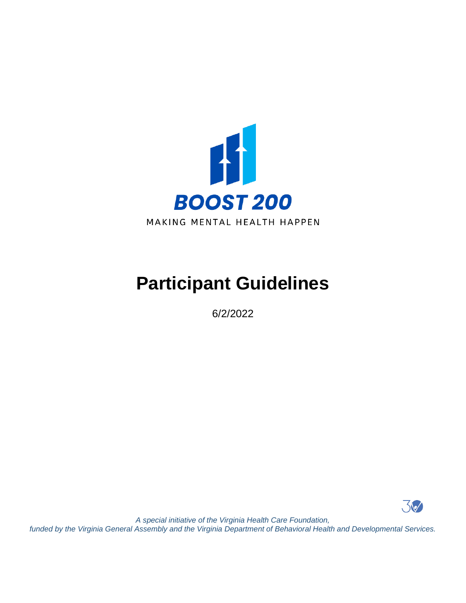

# **Participant Guidelines**

6/2/2022



*A special initiative of the Virginia Health Care Foundation, funded by the Virginia General Assembly and the Virginia Department of Behavioral Health and Developmental Services.*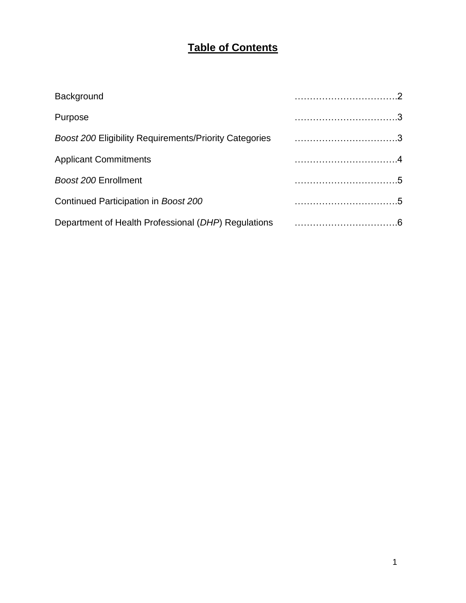# **Table of Contents**

| Background                           |  |
|--------------------------------------|--|
| Purpose                              |  |
|                                      |  |
| <b>Applicant Commitments</b>         |  |
| Boost 200 Enrollment                 |  |
| Continued Participation in Boost 200 |  |
|                                      |  |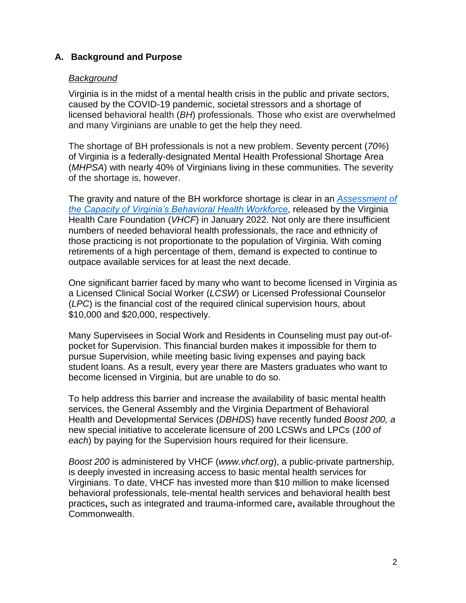# **A. Background and Purpose**

#### *Background*

Virginia is in the midst of a mental health crisis in the public and private sectors, caused by the COVID-19 pandemic, societal stressors and a shortage of licensed behavioral health (*BH*) professionals. Those who exist are overwhelmed and many Virginians are unable to get the help they need.

The shortage of BH professionals is not a new problem. Seventy percent (*70%*) of Virginia is a federally-designated Mental Health Professional Shortage Area (*MHPSA*) with nearly 40% of Virginians living in these communities. The severity of the shortage is, however.

The gravity and nature of the BH workforce shortage is clear in an *[Assessment of](https://www.vhcf.org/2022/01/19/new-assessment-finds-alarming-shortage-of-virginia-licensed-behavioral-health-professionals-and-outlines-attainable-solutions/)  [the Capacity of Virginia's Behavioral Health Workforce](https://www.vhcf.org/2022/01/19/new-assessment-finds-alarming-shortage-of-virginia-licensed-behavioral-health-professionals-and-outlines-attainable-solutions/)*, released by the Virginia Health Care Foundation (*VHCF*) in January 2022. Not only are there insufficient numbers of needed behavioral health professionals, the race and ethnicity of those practicing is not proportionate to the population of Virginia. With coming retirements of a high percentage of them, demand is expected to continue to outpace available services for at least the next decade.

One significant barrier faced by many who want to become licensed in Virginia as a Licensed Clinical Social Worker (*LCSW*) or Licensed Professional Counselor (*LPC*) is the financial cost of the required clinical supervision hours, about \$10,000 and \$20,000, respectively.

Many Supervisees in Social Work and Residents in Counseling must pay out-ofpocket for Supervision. This financial burden makes it impossible for them to pursue Supervision, while meeting basic living expenses and paying back student loans. As a result, every year there are Masters graduates who want to become licensed in Virginia, but are unable to do so.

To help address this barrier and increase the availability of basic mental health services, the General Assembly and the Virginia Department of Behavioral Health and Developmental Services (*DBHDS*) have recently funded *Boost 200, a*  new special initiative to accelerate licensure of 200 LCSWs and LPCs (*100 of each*) by paying for the Supervision hours required for their licensure.

*Boost 200* is administered by VHCF (*www.vhcf.org*), a public-private partnership, is deeply invested in increasing access to basic mental health services for Virginians. To date, VHCF has invested more than \$10 million to make licensed behavioral professionals, tele-mental health services and behavioral health best practices**,** such as integrated and trauma-informed care**,** available throughout the Commonwealth.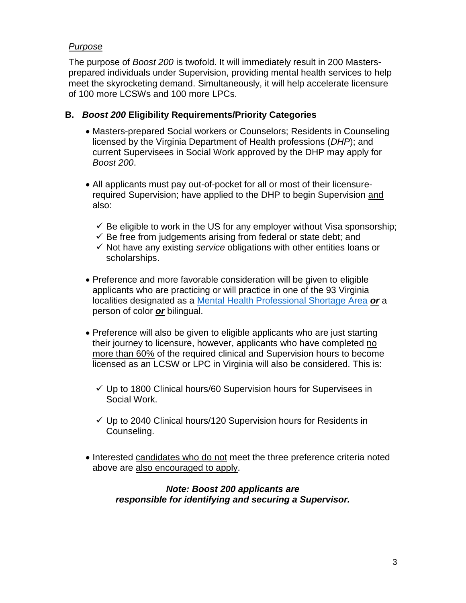# *Purpose*

The purpose of *Boost 200* is twofold. It will immediately result in 200 Mastersprepared individuals under Supervision, providing mental health services to help meet the skyrocketing demand. Simultaneously, it will help accelerate licensure of 100 more LCSWs and 100 more LPCs.

#### **B.** *Boost 200* **Eligibility Requirements/Priority Categories**

- Masters-prepared Social workers or Counselors; Residents in Counseling licensed by the Virginia Department of Health professions (*DHP*); and current Supervisees in Social Work approved by the DHP may apply for *Boost 200*.
- All applicants must pay out-of-pocket for all or most of their licensurerequired Supervision; have applied to the DHP to begin Supervision and also:
	- $\checkmark$  Be eligible to work in the US for any employer without Visa sponsorship;
	- $\checkmark$  Be free from judgements arising from federal or state debt; and
	- ✓ Not have any existing *service* obligations with other entities loans or scholarships.
- Preference and more favorable consideration will be given to eligible applicants who are practicing or will practice in one of the 93 Virginia localities designated as a [Mental Health Professional Shortage Area](https://data.hrsa.gov/tools/shortage-area) *or* a person of color *or* bilingual.
- Preference will also be given to eligible applicants who are just starting their journey to licensure, however, applicants who have completed no more than 60% of the required clinical and Supervision hours to become licensed as an LCSW or LPC in Virginia will also be considered. This is:
	- ✓ Up to 1800 Clinical hours/60 Supervision hours for Supervisees in Social Work.
	- $\checkmark$  Up to 2040 Clinical hours/120 Supervision hours for Residents in Counseling.
- Interested candidates who do not meet the three preference criteria noted above are also encouraged to apply.

#### *Note: Boost 200 applicants are responsible for identifying and securing a Supervisor.*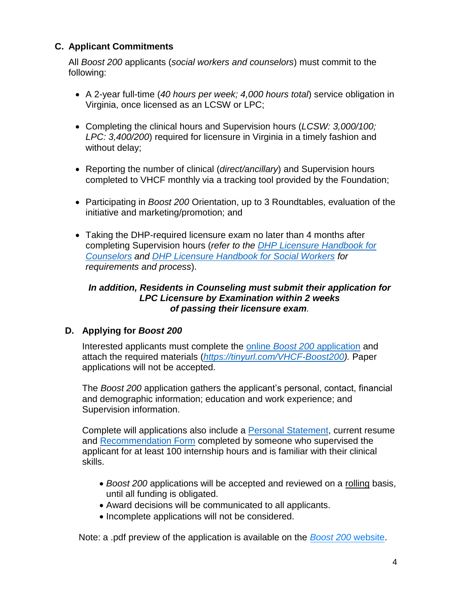# **C. Applicant Commitments**

All *Boost 200* applicants (*social workers and counselors*) must commit to the following:

- A 2-year full-time (*40 hours per week; 4,000 hours total*) service obligation in Virginia, once licensed as an LCSW or LPC;
- Completing the clinical hours and Supervision hours (*LCSW: 3,000/100; LPC: 3,400/200*) required for licensure in Virginia in a timely fashion and without delay;
- Reporting the number of clinical (*direct/ancillary*) and Supervision hours completed to VHCF monthly via a tracking tool provided by the Foundation;
- Participating in *Boost 200* Orientation, up to 3 Roundtables, evaluation of the initiative and marketing/promotion; and
- Taking the DHP-required licensure exam no later than 4 months after completing Supervision hours (*refer to the [DHP Licensure Handbook for](https://www.dhp.virginia.gov/counseling/docs/OnlineApplicationHandbook_Comprehensive.pdf) [Counselors](https://www.dhp.virginia.gov/counseling/docs/OnlineApplicationHandbook_Comprehensive.pdf) and [DHP Licensure Handbook for Social Workers](https://www.dhp.virginia.gov/Forms/social/Licensure_Process.pdf) for requirements and process*).

#### *In addition, Residents in Counseling must submit their application for LPC Licensure by Examination within 2 weeks of passing their licensure exam.*

# **D. Applying for** *Boost 200*

Interested applicants must complete the online *Boost 200* [application](https://tinyurl.com/VHCF-Boost200) and attach the required materials (*[https://tinyurl.com/VHCF-Boost200\)](https://tinyurl.com/VHCF-Boost200).* Paper applications will not be accepted.

The *Boost 200* application gathers the applicant's personal, contact, financial and demographic information; education and work experience; and Supervision information.

Complete will applications also include a [Personal Statement,](https://www.vhcf.org/wp-content/uploads/2022/06/Boost-200-Personal-Statement-Form-6.1.2022.pdf) current resume and [Recommendation Form](https://www.surveymonkey.com/r/ZBCVFJ8) completed by someone who supervised the applicant for at least 100 internship hours and is familiar with their clinical skills.

- *Boost 200* applications will be accepted and reviewed on a rolling basis, until all funding is obligated.
- Award decisions will be communicated to all applicants.
- Incomplete applications will not be considered.

Note: a .pdf preview of the application is available on the *[Boost 200](https://www.vhcf.org/wp-content/uploads/2022/06/Application-Preview.pdf)* website.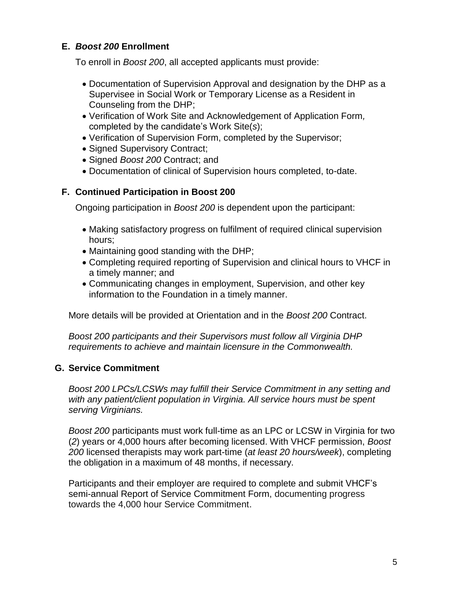## **E.** *Boost 200* **Enrollment**

To enroll in *Boost 200*, all accepted applicants must provide:

- Documentation of Supervision Approval and designation by the DHP as a Supervisee in Social Work or Temporary License as a Resident in Counseling from the DHP;
- Verification of Work Site and Acknowledgement of Application Form*,*  completed by the candidate's Work Site(*s*);
- Verification of Supervision Form, completed by the Supervisor;
- Signed Supervisory Contract;
- Signed *Boost 200* Contract; and
- Documentation of clinical of Supervision hours completed, to-date.

#### **F. Continued Participation in Boost 200**

Ongoing participation in *Boost 200* is dependent upon the participant:

- Making satisfactory progress on fulfilment of required clinical supervision hours;
- Maintaining good standing with the DHP;
- Completing required reporting of Supervision and clinical hours to VHCF in a timely manner; and
- Communicating changes in employment, Supervision, and other key information to the Foundation in a timely manner.

More details will be provided at Orientation and in the *Boost 200* Contract.

*Boost 200 participants and their Supervisors must follow all Virginia DHP requirements to achieve and maintain licensure in the Commonwealth.*

# **G. Service Commitment**

*Boost 200 LPCs/LCSWs may fulfill their Service Commitment in any setting and with any patient/client population in Virginia. All service hours must be spent serving Virginians.*

*Boost 200* participants must work full-time as an LPC or LCSW in Virginia for two (*2*) years or 4,000 hours after becoming licensed. With VHCF permission, *Boost 200* licensed therapists may work part-time (*at least 20 hours/week*), completing the obligation in a maximum of 48 months, if necessary.

Participants and their employer are required to complete and submit VHCF's semi-annual Report of Service Commitment Form, documenting progress towards the 4,000 hour Service Commitment.